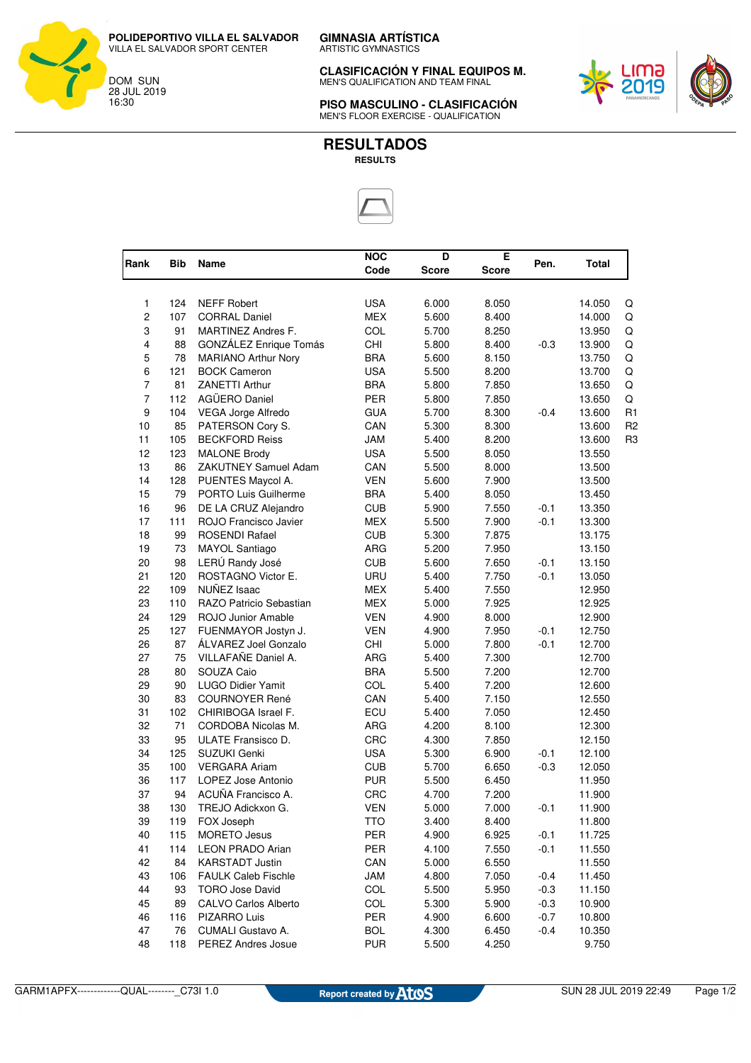**CLASIFICACIÓN Y FINAL EQUIPOS M.** MEN'S QUALIFICATION AND TEAM FINAL



**PISO MASCULINO - CLASIFICACIÓN** MEN'S FLOOR EXERCISE - QUALIFICATION



| Rank                | <b>Bib</b> | Name                        | <b>NOC</b> | D     | Е            | Pen.   | Total  |                |
|---------------------|------------|-----------------------------|------------|-------|--------------|--------|--------|----------------|
|                     |            |                             | Code       | Score | <b>Score</b> |        |        |                |
| 1                   | 124        | <b>NEFF Robert</b>          | <b>USA</b> | 6.000 | 8.050        |        | 14.050 |                |
| $\overline{c}$      | 107        | <b>CORRAL Daniel</b>        | <b>MEX</b> | 5.600 | 8.400        |        | 14.000 | Q<br>Q         |
| 3                   | 91         | MARTINEZ Andres F.          |            |       |              |        |        |                |
|                     |            |                             | COL        | 5.700 | 8.250        |        | 13.950 | Q              |
| 4<br>5              | 88<br>78   | GONZÁLEZ Enrique Tomás      | <b>CHI</b> | 5.800 | 8.400        | $-0.3$ | 13.900 | Q              |
|                     |            | <b>MARIANO Arthur Nory</b>  | <b>BRA</b> | 5.600 | 8.150        |        | 13.750 | Q              |
| 6<br>$\overline{7}$ | 121        | <b>BOCK Cameron</b>         | <b>USA</b> | 5.500 | 8.200        |        | 13.700 | Q              |
|                     | 81         | ZANETTI Arthur              | <b>BRA</b> | 5.800 | 7.850        |        | 13.650 | Q              |
| $\overline{7}$      | 112        | AGÜERO Daniel               | PER        | 5.800 | 7.850        |        | 13.650 | Q              |
| 9                   | 104        | VEGA Jorge Alfredo          | <b>GUA</b> | 5.700 | 8.300        | $-0.4$ | 13.600 | R1             |
| 10                  | 85         | PATERSON Cory S.            | CAN        | 5.300 | 8.300        |        | 13.600 | R <sub>2</sub> |
| 11                  | 105        | <b>BECKFORD Reiss</b>       | <b>JAM</b> | 5.400 | 8.200        |        | 13.600 | R <sub>3</sub> |
| 12                  | 123        | <b>MALONE Brody</b>         | <b>USA</b> | 5.500 | 8.050        |        | 13.550 |                |
| 13                  | 86         | ZAKUTNEY Samuel Adam        | CAN        | 5.500 | 8.000        |        | 13.500 |                |
| 14                  | 128        | PUENTES Maycol A.           | <b>VEN</b> | 5.600 | 7.900        |        | 13.500 |                |
| 15                  | 79         | PORTO Luis Guilherme        | <b>BRA</b> | 5.400 | 8.050        |        | 13.450 |                |
| 16                  | 96         | DE LA CRUZ Alejandro        | <b>CUB</b> | 5.900 | 7.550        | $-0.1$ | 13.350 |                |
| 17                  | 111        | ROJO Francisco Javier       | <b>MEX</b> | 5.500 | 7.900        | $-0.1$ | 13.300 |                |
| 18                  | 99         | ROSENDI Rafael              | <b>CUB</b> | 5.300 | 7.875        |        | 13.175 |                |
| 19                  | 73         | MAYOL Santiago              | <b>ARG</b> | 5.200 | 7.950        |        | 13.150 |                |
| 20                  | 98         | LERÚ Randy José             | <b>CUB</b> | 5.600 | 7.650        | $-0.1$ | 13.150 |                |
| 21                  | 120        | ROSTAGNO Victor E.          | URU        | 5.400 | 7.750        | $-0.1$ | 13.050 |                |
| 22                  | 109        | NUÑEZ Isaac                 | <b>MEX</b> | 5.400 | 7.550        |        | 12.950 |                |
| 23                  | 110        | RAZO Patricio Sebastian     | <b>MEX</b> | 5.000 | 7.925        |        | 12.925 |                |
| 24                  | 129        | ROJO Junior Amable          | <b>VEN</b> | 4.900 | 8.000        |        | 12.900 |                |
| 25                  | 127        | FUENMAYOR Jostyn J.         | <b>VEN</b> | 4.900 | 7.950        | $-0.1$ | 12.750 |                |
| 26                  | 87         | ÁLVAREZ Joel Gonzalo        | CHI        | 5.000 | 7.800        | $-0.1$ | 12.700 |                |
| 27                  | 75         | VILLAFAÑE Daniel A.         | ARG        | 5.400 | 7.300        |        | 12.700 |                |
| 28                  | 80         | SOUZA Caio                  | <b>BRA</b> | 5.500 | 7.200        |        | 12.700 |                |
| 29                  | 90         | <b>LUGO Didier Yamit</b>    | COL        | 5.400 | 7.200        |        | 12.600 |                |
| 30                  | 83         | <b>COURNOYER René</b>       | CAN        | 5.400 | 7.150        |        | 12.550 |                |
| 31                  | 102        | CHIRIBOGA Israel F.         | ECU        | 5.400 | 7.050        |        | 12.450 |                |
| 32                  | 71         | CORDOBA Nicolas M.          | ARG        | 4.200 | 8.100        |        | 12.300 |                |
| 33                  | 95         | ULATE Fransisco D.          | CRC        | 4.300 | 7.850        |        | 12.150 |                |
| 34                  | 125        | SUZUKI Genki                | <b>USA</b> | 5.300 | 6.900        | $-0.1$ | 12.100 |                |
| 35                  | 100        | <b>VERGARA Ariam</b>        | <b>CUB</b> | 5.700 | 6.650        | $-0.3$ | 12.050 |                |
| 36                  | 117        | LOPEZ Jose Antonio          | <b>PUR</b> | 5.500 | 6.450        |        | 11.950 |                |
| 37                  | 94         | ACUÑA Francisco A.          | CRC        | 4.700 | 7.200        |        | 11.900 |                |
| 38                  | 130        | TREJO Adickxon G.           | <b>VEN</b> | 5.000 | 7.000        | $-0.1$ | 11.900 |                |
| 39                  | 119        | FOX Joseph                  | TTO        | 3.400 | 8.400        |        | 11.800 |                |
| 40                  | 115        | <b>MORETO Jesus</b>         | PER        | 4.900 | 6.925        | $-0.1$ | 11.725 |                |
| 41                  | 114        | <b>LEON PRADO Arian</b>     | PER        | 4.100 | 7.550        | $-0.1$ | 11.550 |                |
| 42                  | 84         | <b>KARSTADT Justin</b>      | CAN        | 5.000 | 6.550        |        | 11.550 |                |
| 43                  | 106        | <b>FAULK Caleb Fischle</b>  | JAM        | 4.800 | 7.050        | $-0.4$ | 11.450 |                |
| 44                  | 93         | <b>TORO Jose David</b>      | <b>COL</b> | 5.500 | 5.950        | $-0.3$ | 11.150 |                |
| 45                  | 89         | <b>CALVO Carlos Alberto</b> | <b>COL</b> | 5.300 | 5.900        | $-0.3$ | 10.900 |                |
| 46                  | 116        | PIZARRO Luis                | PER        | 4.900 | 6.600        | $-0.7$ | 10.800 |                |
| 47                  | 76         | CUMALI Gustavo A.           | <b>BOL</b> | 4.300 | 6.450        | $-0.4$ | 10.350 |                |
| 48                  | 118        | <b>PEREZ Andres Josue</b>   | <b>PUR</b> | 5.500 | 4.250        |        | 9.750  |                |

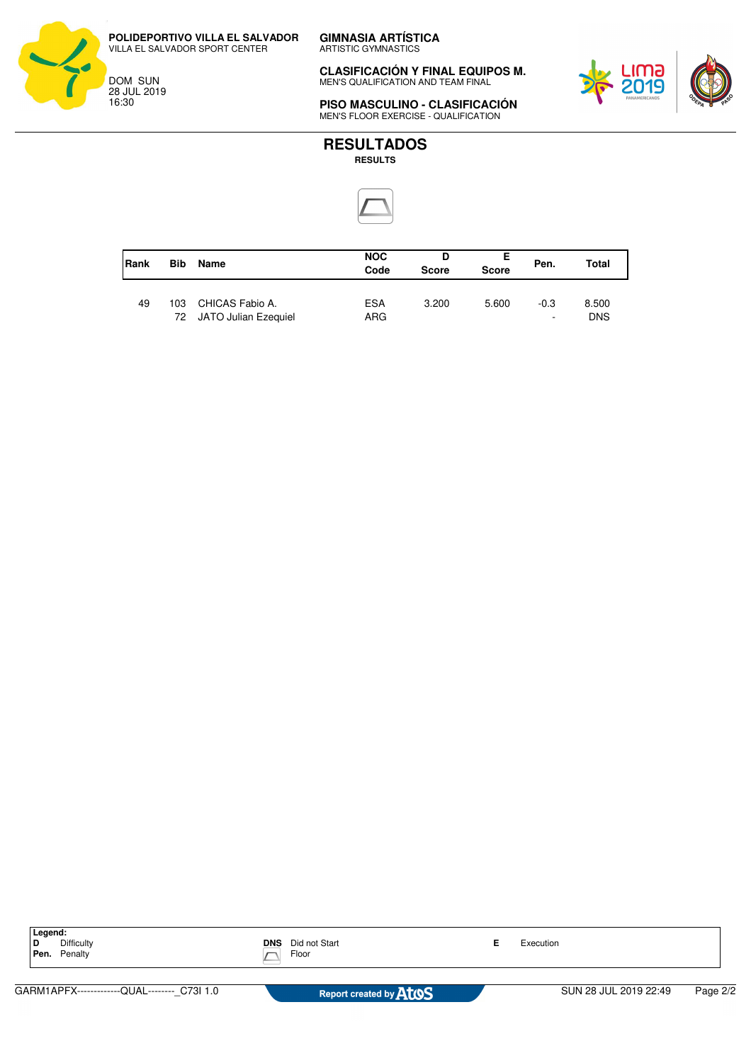**POLIDEPORTIVO VILLA EL SALVADOR** VILLA EL SALVADOR SPORT CENTER

DOM SUN 28 JUL 2019 16:30

**CLASIFICACIÓN Y FINAL EQUIPOS M.** MEN'S QUALIFICATION AND TEAM FINAL



**PISO MASCULINO - CLASIFICACIÓN** MEN'S FLOOR EXERCISE - QUALIFICATION



| Rank | <b>Bib</b> | Name                                       | <b>NOC</b><br>Code | D<br><b>Score</b> | Е<br><b>Score</b> | Pen.                               | Total               |
|------|------------|--------------------------------------------|--------------------|-------------------|-------------------|------------------------------------|---------------------|
| 49   | 103        | CHICAS Fabio A.<br>72 JATO Julian Ezequiel | <b>ESA</b><br>ARG. | 3.200             | 5.600             | $-0.3$<br>$\overline{\phantom{a}}$ | 8.500<br><b>DNS</b> |

| Legend:                                     |                                      |  |                       |          |
|---------------------------------------------|--------------------------------------|--|-----------------------|----------|
| Difficulty<br>Penalty<br>Pen.               | Did not Start<br><b>DNS</b><br>Floor |  | Execution             |          |
|                                             |                                      |  |                       |          |
| GARM1APFX-------------QUAL-------- C73I 1.0 | Report created by <b>ATOS</b>        |  | SUN 28 JUL 2019 22:49 | Page 2/2 |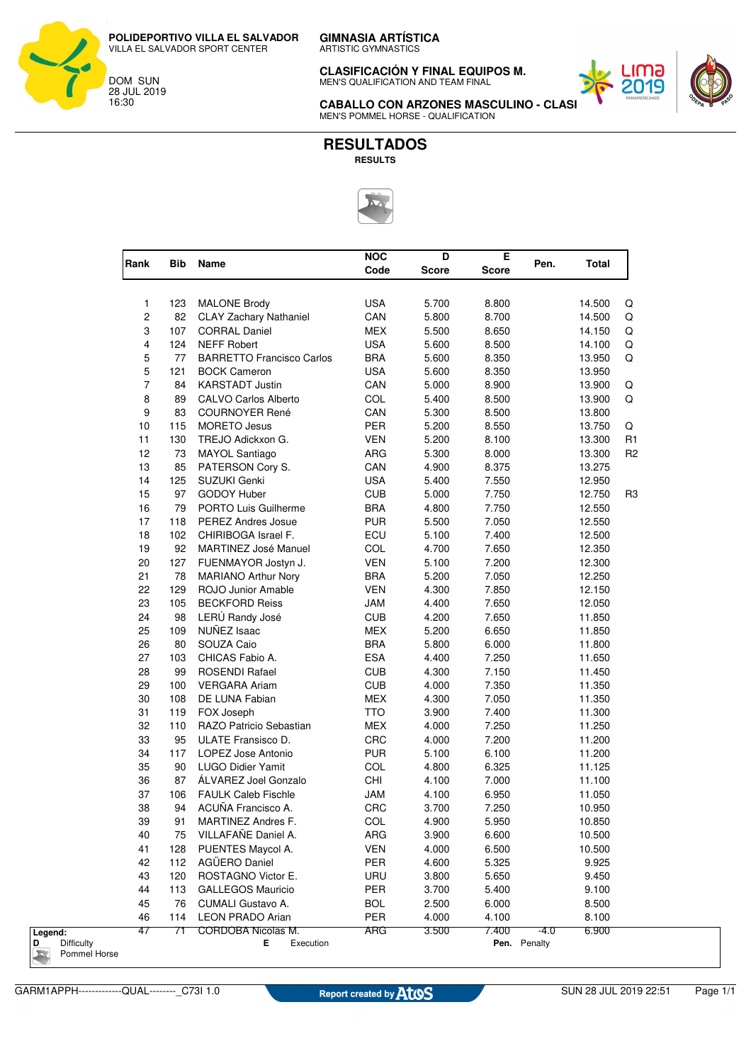ARTISTIC GYMNASTICS

**CLASIFICACIÓN Y FINAL EQUIPOS M.** MEN'S QUALIFICATION AND TEAM FINAL



**CABALLO CON ARZONES MASCULINO - CLAS** MEN'S POMMEL HORSE - QUALIFICATION



| Rank           | Bib | Name                                          | <b>NOC</b><br>Code | D<br><b>Score</b> | Е<br><b>Score</b> | Pen.<br><b>Total</b> |
|----------------|-----|-----------------------------------------------|--------------------|-------------------|-------------------|----------------------|
|                |     |                                               |                    |                   |                   |                      |
| 1              | 123 | <b>MALONE Brody</b>                           | <b>USA</b>         | 5.700             | 8.800             | 14.500               |
| 2              | 82  | <b>CLAY Zachary Nathaniel</b>                 | CAN                | 5.800             | 8.700             | 14.500               |
| 3              | 107 | <b>CORRAL Daniel</b>                          | <b>MEX</b>         | 5.500             | 8.650             | 14.150               |
| 4              | 124 | <b>NEFF Robert</b>                            | <b>USA</b>         | 5.600             | 8.500             | 14.100               |
| 5              | 77  | <b>BARRETTO Francisco Carlos</b>              | <b>BRA</b>         | 5.600             | 8.350             | 13.950               |
| 5              | 121 | <b>BOCK Cameron</b>                           | <b>USA</b>         | 5.600             | 8.350             | 13.950               |
| $\overline{7}$ | 84  | <b>KARSTADT Justin</b>                        | CAN                | 5.000             | 8.900             | 13.900               |
| 8              | 89  | <b>CALVO Carlos Alberto</b>                   | COL                | 5.400             | 8.500             | 13.900               |
| 9              | 83  | <b>COURNOYER René</b>                         | CAN                | 5.300             | 8.500             | 13.800               |
| 10             | 115 | <b>MORETO Jesus</b>                           | PER                | 5.200             | 8.550             | 13.750               |
| 11             | 130 | TREJO Adickxon G.                             | <b>VEN</b>         | 5.200             | 8.100             | 13.300               |
| 12             | 73  | <b>MAYOL Santiago</b>                         | ARG                | 5.300             | 8.000             | 13.300               |
| 13             | 85  | PATERSON Cory S.                              | CAN                | 4.900             | 8.375             | 13.275               |
| 14             | 125 | <b>SUZUKI Genki</b>                           | <b>USA</b>         | 5.400             | 7.550             | 12.950               |
| 15             | 97  | GODOY Huber                                   | <b>CUB</b>         | 5.000             | 7.750             | 12.750               |
| 16             | 79  | <b>PORTO Luis Guilherme</b>                   | <b>BRA</b>         | 4.800             | 7.750             | 12.550               |
| 17             | 118 | <b>PEREZ Andres Josue</b>                     | <b>PUR</b>         | 5.500             | 7.050             | 12.550               |
| 18             | 102 | CHIRIBOGA Israel F.                           | ECU                | 5.100             | 7.400             | 12.500               |
| 19             | 92  | <b>MARTINEZ José Manuel</b>                   | COL                | 4.700             | 7.650             | 12.350               |
| 20             | 127 | FUENMAYOR Jostyn J.                           | <b>VEN</b>         | 5.100             | 7.200             | 12.300               |
| 21             | 78  | <b>MARIANO Arthur Nory</b>                    | <b>BRA</b>         | 5.200             | 7.050             | 12.250               |
| 22             | 129 | ROJO Junior Amable                            | <b>VEN</b>         | 4.300             | 7.850             | 12.150               |
| 23             | 105 | <b>BECKFORD Reiss</b>                         | JAM                | 4.400             | 7.650             | 12.050               |
| 24             | 98  | LERÚ Randy José                               | <b>CUB</b>         | 4.200             | 7.650             | 11.850               |
| 25             | 109 | NUÑEZ Isaac                                   | <b>MEX</b>         | 5.200             | 6.650             | 11.850               |
| 26             | 80  | SOUZA Caio                                    | <b>BRA</b>         | 5.800             | 6.000             | 11.800               |
| 27             | 103 | CHICAS Fabio A.                               | <b>ESA</b>         | 4.400             | 7.250             | 11.650               |
| 28             |     |                                               |                    |                   |                   |                      |
| 29             | 99  | <b>ROSENDI Rafael</b>                         | <b>CUB</b>         | 4.300             | 7.150             | 11.450               |
|                | 100 | <b>VERGARA Ariam</b>                          | <b>CUB</b>         | 4.000             | 7.350             | 11.350               |
| 30             | 108 | DE LUNA Fabian                                | <b>MEX</b>         | 4.300             | 7.050             | 11.350               |
| 31             | 119 | FOX Joseph                                    | <b>TTO</b>         | 3.900             | 7.400             | 11.300               |
| 32             | 110 | RAZO Patricio Sebastian<br>ULATE Fransisco D. | <b>MEX</b>         | 4.000             | 7.250             | 11.250               |
| 33             | 95  | <b>LOPEZ Jose Antonio</b>                     | CRC                | 4.000             | 7.200             | 11.200               |
| 34             | 117 |                                               | <b>PUR</b>         | 5.100             | 6.100             | 11.200               |
| 35             | 90  | <b>LUGO Didier Yamit</b>                      | COL                | 4.800             | 6.325             | 11.125               |
| 36             | 87  | ALVAREZ Joel Gonzalo                          | CHI                | 4.100             | 7.000             | 11.100               |
| 37             | 106 | <b>FAULK Caleb Fischle</b>                    | <b>JAM</b>         | 4.100             | 6.950             | 11.050               |
| 38             | 94  | ACUNA Francisco A.                            | CRC                | 3.700             | 7.250             | 10.950               |
| 39             | 91  | <b>MARTINEZ Andres F.</b>                     | COL                | 4.900             | 5.950             | 10.850               |
| 40             | 75  | VILLAFAÑE Daniel A.                           | ARG                | 3.900             | 6.600             | 10.500               |
| 41             | 128 | PUENTES Maycol A.                             | <b>VEN</b>         | 4.000             | 6.500             | 10.500               |
| 42             | 112 | AGÜERO Daniel                                 | <b>PER</b>         | 4.600             | 5.325             | 9.925                |
| 43             | 120 | ROSTAGNO Victor E.                            | URU                | 3.800             | 5.650             | 9.450                |
| 44             | 113 | <b>GALLEGOS Mauricio</b>                      | PER                | 3.700             | 5.400             | 9.100                |
| 45             | 76  | CUMALI Gustavo A.                             | <b>BOL</b>         | 2.500             | 6.000             | 8.500                |
| 46             | 114 | <b>LEON PRADO Arian</b>                       | PER                | 4.000             | 4.100             | 8.100                |

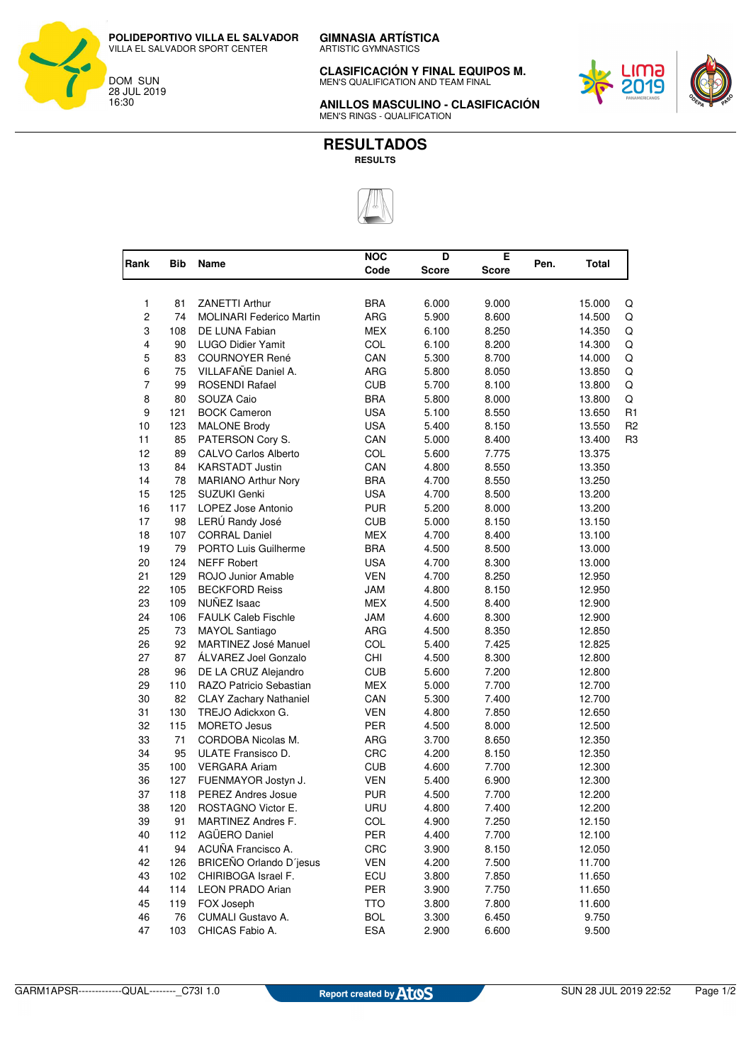**CLASIFICACIÓN Y FINAL EQUIPOS M.** MEN'S QUALIFICATION AND TEAM FINAL



**ANILLOS MASCULINO - CLASIFICACIÓN** MEN'S RINGS - QUALIFICATION



| Rank                    | <b>Bib</b> | Name                            | <b>NOC</b> | D     | Е     | Pen. | Total  |                |
|-------------------------|------------|---------------------------------|------------|-------|-------|------|--------|----------------|
|                         |            |                                 | Code       | Score | Score |      |        |                |
| 1                       | 81         | <b>ZANETTI Arthur</b>           | <b>BRA</b> | 6.000 | 9.000 |      | 15.000 | Q              |
| $\boldsymbol{2}$        | 74         | <b>MOLINARI Federico Martin</b> | ARG        | 5.900 | 8.600 |      | 14.500 | Q              |
| 3                       | 108        | DE LUNA Fabian                  | <b>MEX</b> | 6.100 | 8.250 |      | 14.350 | Q              |
| $\overline{\mathbf{4}}$ | 90         | <b>LUGO Didier Yamit</b>        | COL        | 6.100 | 8.200 |      | 14.300 | Q              |
| 5                       | 83         | <b>COURNOYER René</b>           | CAN        | 5.300 | 8.700 |      | 14.000 | Q              |
| 6                       | 75         | VILLAFAÑE Daniel A.             | <b>ARG</b> | 5.800 | 8.050 |      | 13.850 | Q              |
| $\overline{7}$          | 99         | ROSENDI Rafael                  | <b>CUB</b> | 5.700 | 8.100 |      | 13.800 | Q              |
| 8                       | 80         | SOUZA Caio                      | <b>BRA</b> | 5.800 | 8.000 |      | 13.800 | Q              |
| 9                       | 121        | <b>BOCK Cameron</b>             | <b>USA</b> | 5.100 | 8.550 |      | 13.650 | R <sub>1</sub> |
| 10                      | 123        | <b>MALONE Brody</b>             | <b>USA</b> | 5.400 | 8.150 |      | 13.550 | R <sub>2</sub> |
| 11                      | 85         | PATERSON Cory S.                | CAN        | 5.000 | 8.400 |      | 13.400 | R <sub>3</sub> |
| 12                      | 89         | <b>CALVO Carlos Alberto</b>     | COL        | 5.600 | 7.775 |      | 13.375 |                |
| 13                      | 84         | <b>KARSTADT Justin</b>          | CAN        | 4.800 | 8.550 |      | 13.350 |                |
| 14                      | 78         | <b>MARIANO Arthur Nory</b>      | <b>BRA</b> | 4.700 | 8.550 |      | 13.250 |                |
| 15                      | 125        | SUZUKI Genki                    | <b>USA</b> | 4.700 | 8.500 |      | 13.200 |                |
| 16                      | 117        | LOPEZ Jose Antonio              | <b>PUR</b> | 5.200 | 8.000 |      | 13.200 |                |
| 17                      | 98         | LERÚ Randy José                 | <b>CUB</b> | 5.000 | 8.150 |      | 13.150 |                |
| 18                      | 107        | <b>CORRAL Daniel</b>            | <b>MEX</b> | 4.700 | 8.400 |      | 13.100 |                |
| 19                      | 79         | PORTO Luis Guilherme            | <b>BRA</b> | 4.500 | 8.500 |      | 13.000 |                |
| 20                      | 124        | <b>NEFF Robert</b>              | <b>USA</b> | 4.700 | 8.300 |      | 13.000 |                |
| 21                      | 129        | ROJO Junior Amable              | <b>VEN</b> | 4.700 | 8.250 |      | 12.950 |                |
| 22                      | 105        | <b>BECKFORD Reiss</b>           | <b>JAM</b> | 4.800 | 8.150 |      | 12.950 |                |
| 23                      | 109        | NUÑEZ Isaac                     | <b>MEX</b> | 4.500 | 8.400 |      | 12.900 |                |
| 24                      | 106        | <b>FAULK Caleb Fischle</b>      | JAM        | 4.600 | 8.300 |      | 12.900 |                |
| 25                      | 73         | MAYOL Santiago                  | <b>ARG</b> | 4.500 | 8.350 |      | 12.850 |                |
| 26                      | 92         | MARTINEZ José Manuel            | COL        | 5.400 | 7.425 |      | 12.825 |                |
| 27                      | 87         | ÁLVAREZ Joel Gonzalo            | CHI        | 4.500 | 8.300 |      | 12.800 |                |
| 28                      | 96         | DE LA CRUZ Alejandro            | <b>CUB</b> | 5.600 | 7.200 |      | 12.800 |                |
| 29                      | 110        | RAZO Patricio Sebastian         | <b>MEX</b> | 5.000 | 7.700 |      | 12.700 |                |
| 30                      | 82         | <b>CLAY Zachary Nathaniel</b>   | CAN        | 5.300 | 7.400 |      | 12.700 |                |
| 31                      | 130        | TREJO Adickxon G.               | <b>VEN</b> | 4.800 | 7.850 |      | 12.650 |                |
| 32                      | 115        | <b>MORETO Jesus</b>             | PER        | 4.500 | 8.000 |      | 12.500 |                |
| 33                      | 71         | CORDOBA Nicolas M.              | ARG        | 3.700 | 8.650 |      | 12.350 |                |
| 34                      | 95         | ULATE Fransisco D.              | CRC        | 4.200 | 8.150 |      | 12.350 |                |
| 35                      | 100        | <b>VERGARA Ariam</b>            | <b>CUB</b> | 4.600 | 7.700 |      | 12.300 |                |
| 36                      | 127        | FUENMAYOR Jostyn J.             | <b>VEN</b> | 5.400 | 6.900 |      | 12.300 |                |
| 37                      | 118        | <b>PEREZ Andres Josue</b>       | <b>PUR</b> | 4.500 | 7.700 |      | 12.200 |                |
| 38                      | 120        | ROSTAGNO Victor E.              | URU        | 4.800 | 7.400 |      | 12.200 |                |
| 39                      | 91         | MARTINEZ Andres F.              | <b>COL</b> | 4.900 | 7.250 |      | 12.150 |                |
| 40                      | 112        | AGÜERO Daniel                   | PER        | 4.400 | 7.700 |      | 12.100 |                |
| 41                      | 94         | ACUÑA Francisco A.              | CRC        | 3.900 | 8.150 |      | 12.050 |                |
| 42                      | 126        | BRICEÑO Orlando D'jesus         | <b>VEN</b> | 4.200 | 7.500 |      | 11.700 |                |
| 43                      | 102        | CHIRIBOGA Israel F.             | ECU        | 3.800 | 7.850 |      | 11.650 |                |
| 44                      | 114        | <b>LEON PRADO Arian</b>         | PER        | 3.900 | 7.750 |      | 11.650 |                |
| 45                      | 119        | FOX Joseph                      | <b>TTO</b> | 3.800 | 7.800 |      | 11.600 |                |
| 46                      | 76         | CUMALI Gustavo A.               | <b>BOL</b> | 3.300 | 6.450 |      | 9.750  |                |
| 47                      | 103        | CHICAS Fabio A.                 | <b>ESA</b> | 2.900 | 6.600 |      | 9.500  |                |

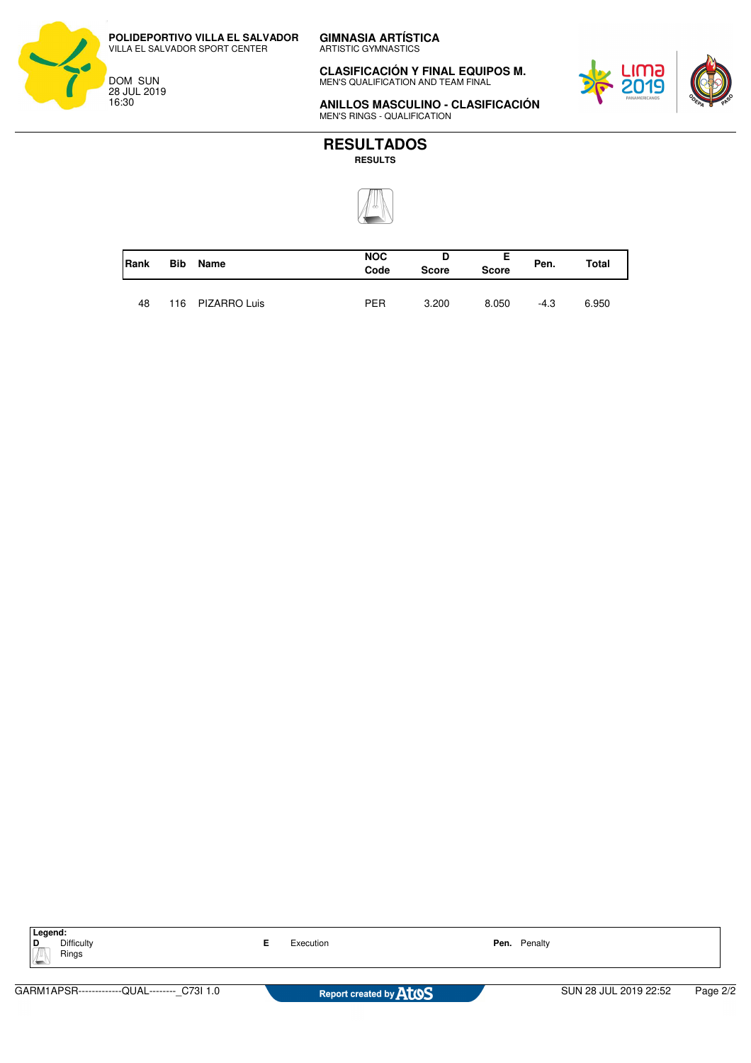**POLIDEPORTIVO VILLA EL SALVADOR** VILLA EL SALVADOR SPORT CENTER

DOM SUN 28 JUL 2019 16:30

**CLASIFICACIÓN Y FINAL EQUIPOS M.** MEN'S QUALIFICATION AND TEAM FINAL



**ANILLOS MASCULINO - CLASIFICACIÓN** MEN'S RINGS - QUALIFICATION



| Rank | <b>Bib</b> | Name             | <b>NOC</b><br>Code | D<br><b>Score</b> | <b>Score</b> | Pen. | Total |
|------|------------|------------------|--------------------|-------------------|--------------|------|-------|
| 48   |            | 116 PIZARRO Luis | <b>PER</b>         | 3.200             | 8.050        | -4.3 | 6.950 |

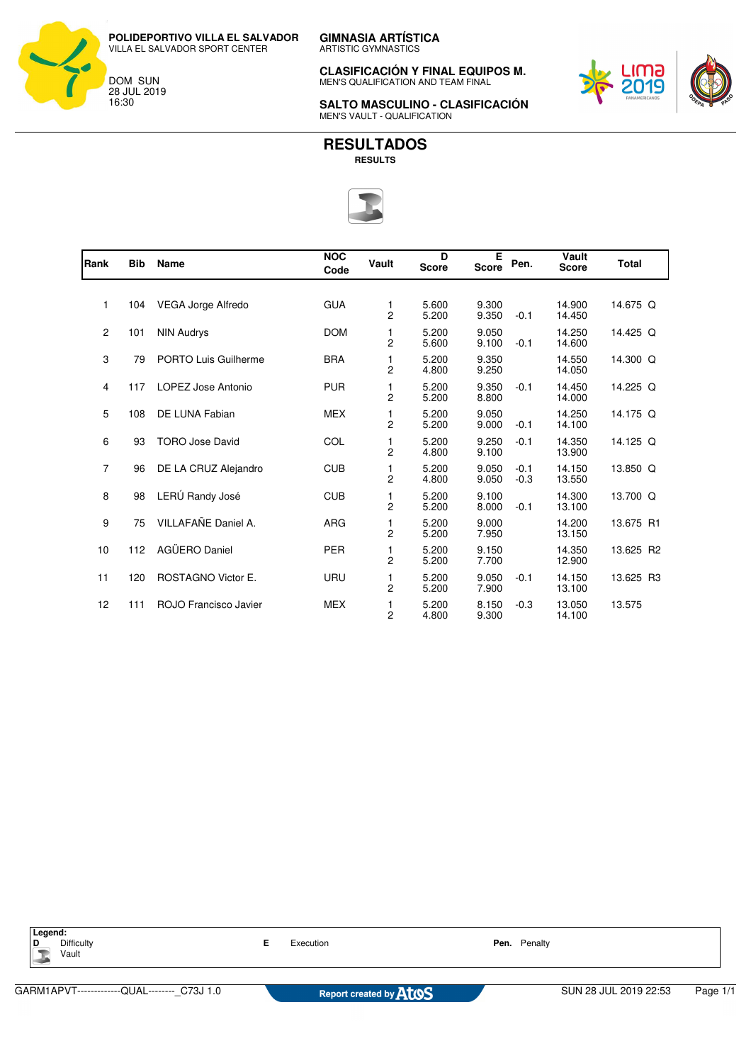**GIMNASIA ARTÍSTICA** ARTISTIC GYMNASTICS **POLIDEPORTIVO VILLA EL SALVADOR**

VILLA EL SALVADOR SPORT CENTER

DOM SUN 28 JUL 2019 16:30

**CLASIFICACIÓN Y FINAL EQUIPOS M.** MEN'S QUALIFICATION AND TEAM FINAL



**SALTO MASCULINO - CLASIFICACIÓN** MEN'S VAULT - QUALIFICATION



| Rank           | <b>Bib</b> | Name                      | <b>NOC</b><br>Code | Vault               | D<br><b>Score</b> | E<br><b>Score</b> | Pen.             | Vault<br><b>Score</b> | <b>Total</b> |
|----------------|------------|---------------------------|--------------------|---------------------|-------------------|-------------------|------------------|-----------------------|--------------|
|                |            |                           |                    |                     |                   |                   |                  |                       |              |
| 1              | 104        | VEGA Jorge Alfredo        | <b>GUA</b>         | 1<br>2              | 5.600<br>5.200    | 9.300<br>9.350    | $-0.1$           | 14.900<br>14.450      | 14.675 Q     |
| 2              | 101        | <b>NIN Audrys</b>         | <b>DOM</b>         | 1<br>2              | 5.200<br>5.600    | 9.050<br>9.100    | $-0.1$           | 14.250<br>14.600      | 14.425 Q     |
| 3              | 79         | PORTO Luis Guilherme      | <b>BRA</b>         | 1<br>2              | 5.200<br>4.800    | 9.350<br>9.250    |                  | 14.550<br>14.050      | 14.300 Q     |
| 4              | 117        | LOPEZ Jose Antonio        | <b>PUR</b>         | 1<br>$\overline{2}$ | 5.200<br>5.200    | 9.350<br>8.800    | $-0.1$           | 14.450<br>14.000      | 14.225 Q     |
| 5              | 108        | DE LUNA Fabian            | <b>MEX</b>         | 1<br>2              | 5.200<br>5.200    | 9.050<br>9.000    | $-0.1$           | 14.250<br>14.100      | 14.175 Q     |
| 6              | 93         | <b>TORO Jose David</b>    | COL                | 1<br>2              | 5.200<br>4.800    | 9.250<br>9.100    | $-0.1$           | 14.350<br>13.900      | 14.125 Q     |
| $\overline{7}$ | 96         | DE LA CRUZ Alejandro      | <b>CUB</b>         | 1<br>2              | 5.200<br>4.800    | 9.050<br>9.050    | $-0.1$<br>$-0.3$ | 14.150<br>13.550      | 13.850 Q     |
| 8              | 98         | LERÚ Randy José           | <b>CUB</b>         | 1<br>$\overline{c}$ | 5.200<br>5.200    | 9.100<br>8.000    | $-0.1$           | 14.300<br>13.100      | 13.700 Q     |
| 9              | 75         | VILLAFAÑE Daniel A.       | <b>ARG</b>         | 1<br>2              | 5.200<br>5.200    | 9.000<br>7.950    |                  | 14.200<br>13.150      | 13.675 R1    |
| 10             | 112        | AGÜERO Daniel             | <b>PER</b>         | 1<br>2              | 5.200<br>5.200    | 9.150<br>7.700    |                  | 14.350<br>12.900      | 13.625 R2    |
| 11             | 120        | <b>ROSTAGNO Victor E.</b> | <b>URU</b>         | 1<br>$\overline{2}$ | 5.200<br>5.200    | 9.050<br>7.900    | $-0.1$           | 14.150<br>13.100      | 13.625 R3    |
| 12             | 111        | ROJO Francisco Javier     | <b>MEX</b>         | 1<br>2              | 5.200<br>4.800    | 8.150<br>9.300    | $-0.3$           | 13.050<br>14.100      | 13.575       |

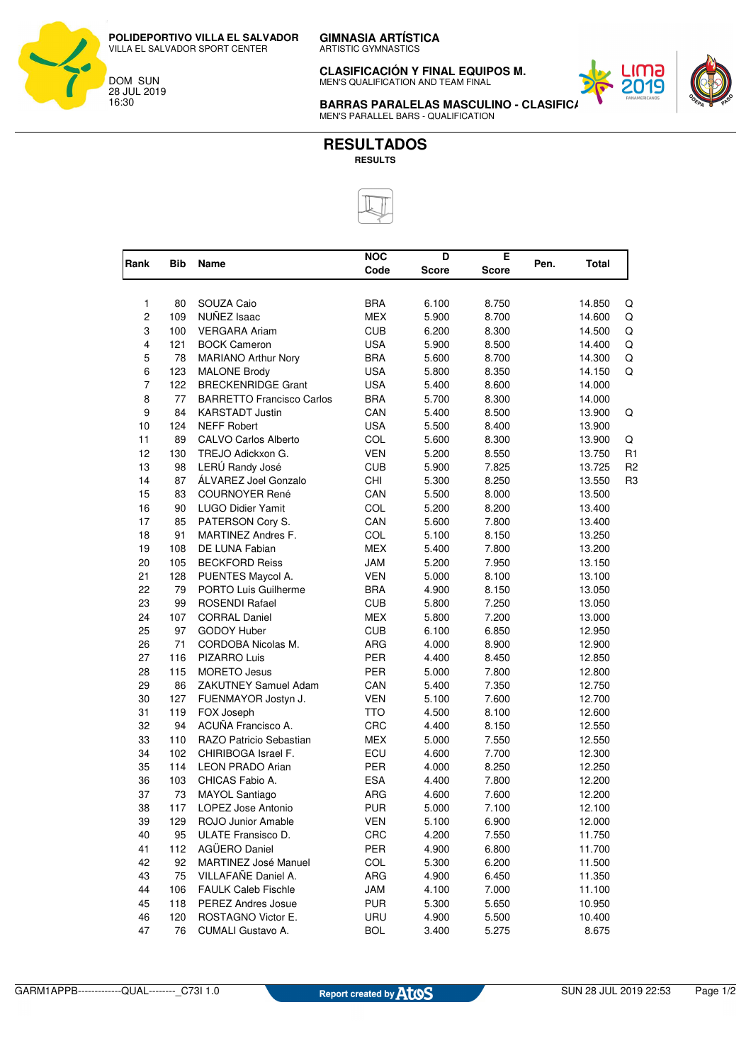ARTISTIC GYMNASTICS

**CLASIFICACIÓN Y FINAL EQUIPOS M.** MEN'S QUALIFICATION AND TEAM FINAL



**BARRAS PARALELAS MASCULINO - CLASIFIC.** MEN'S PARALLEL BARS - QUALIFICATION



|                |            |                                  | <b>NOC</b> | D            | E            |      |        |                |
|----------------|------------|----------------------------------|------------|--------------|--------------|------|--------|----------------|
| Rank           | <b>Bib</b> | Name                             | Code       | <b>Score</b> | <b>Score</b> | Pen. | Total  |                |
|                |            |                                  |            |              |              |      |        |                |
| $\mathbf{1}$   | 80         | SOUZA Caio                       | <b>BRA</b> | 6.100        | 8.750        |      | 14.850 | Q              |
| $\overline{c}$ | 109        | NUÑEZ Isaac                      | <b>MEX</b> | 5.900        | 8.700        |      | 14.600 | Q              |
| 3              | 100        | <b>VERGARA Ariam</b>             | <b>CUB</b> | 6.200        | 8.300        |      | 14.500 | Q              |
| 4              | 121        | <b>BOCK Cameron</b>              | <b>USA</b> | 5.900        | 8.500        |      | 14.400 | Q              |
| 5              | 78         | <b>MARIANO Arthur Nory</b>       | <b>BRA</b> | 5.600        | 8.700        |      | 14.300 | Q              |
| 6              | 123        | <b>MALONE Brody</b>              | <b>USA</b> | 5.800        | 8.350        |      | 14.150 | Q              |
| $\overline{7}$ | 122        | <b>BRECKENRIDGE Grant</b>        | <b>USA</b> | 5.400        | 8.600        |      | 14.000 |                |
| 8              | 77         | <b>BARRETTO Francisco Carlos</b> | <b>BRA</b> | 5.700        | 8.300        |      | 14.000 |                |
| 9              | 84         | <b>KARSTADT Justin</b>           | CAN        | 5.400        | 8.500        |      | 13.900 | Q              |
| 10             | 124        | <b>NEFF Robert</b>               | <b>USA</b> | 5.500        | 8.400        |      | 13.900 |                |
| 11             | 89         | <b>CALVO Carlos Alberto</b>      | COL        | 5.600        | 8.300        |      | 13.900 | Q              |
| 12             | 130        | TREJO Adickxon G.                | <b>VEN</b> | 5.200        | 8.550        |      | 13.750 | R <sub>1</sub> |
| 13             | 98         | LERÚ Randy José                  | <b>CUB</b> | 5.900        | 7.825        |      | 13.725 | R <sub>2</sub> |
| 14             | 87         | ÁLVAREZ Joel Gonzalo             | CHI        | 5.300        | 8.250        |      | 13.550 | R <sub>3</sub> |
| 15             | 83         | <b>COURNOYER René</b>            | CAN        | 5.500        | 8.000        |      | 13.500 |                |
| 16             | 90         | LUGO Didier Yamit                | COL        | 5.200        | 8.200        |      | 13.400 |                |
| 17             | 85         | PATERSON Cory S.                 | CAN        | 5.600        | 7.800        |      | 13.400 |                |
| 18             | 91         | MARTINEZ Andres F.               | COL        | 5.100        | 8.150        |      | 13.250 |                |
| 19             | 108        | DE LUNA Fabian                   | <b>MEX</b> | 5.400        | 7.800        |      | 13.200 |                |
| 20             | 105        | <b>BECKFORD Reiss</b>            | <b>JAM</b> | 5.200        | 7.950        |      | 13.150 |                |
| 21             | 128        | PUENTES Maycol A.                | <b>VEN</b> | 5.000        | 8.100        |      | 13.100 |                |
| 22             | 79         | PORTO Luis Guilherme             | <b>BRA</b> | 4.900        | 8.150        |      | 13.050 |                |
| 23             | 99         | ROSENDI Rafael                   | <b>CUB</b> | 5.800        | 7.250        |      | 13.050 |                |
| 24             | 107        | <b>CORRAL Daniel</b>             | <b>MEX</b> | 5.800        | 7.200        |      | 13.000 |                |
| 25             | 97         | <b>GODOY Huber</b>               | <b>CUB</b> | 6.100        | 6.850        |      | 12.950 |                |
| 26             | 71         | CORDOBA Nicolas M.               | ARG        | 4.000        | 8.900        |      | 12.900 |                |
| 27             | 116        | <b>PIZARRO Luis</b>              | <b>PER</b> | 4.400        | 8.450        |      | 12.850 |                |
| 28             | 115        | <b>MORETO Jesus</b>              | <b>PER</b> | 5.000        | 7.800        |      | 12.800 |                |
| 29             | 86         | ZAKUTNEY Samuel Adam             | CAN        | 5.400        | 7.350        |      | 12.750 |                |
| 30             | 127        | FUENMAYOR Jostyn J.              | <b>VEN</b> | 5.100        | 7.600        |      | 12.700 |                |
| 31             | 119        | FOX Joseph                       | <b>TTO</b> | 4.500        | 8.100        |      | 12.600 |                |
| 32             | 94         | ACUÑA Francisco A.               | <b>CRC</b> | 4.400        | 8.150        |      | 12.550 |                |
| 33             | 110        | RAZO Patricio Sebastian          | <b>MEX</b> | 5.000        | 7.550        |      | 12.550 |                |
| 34             | 102        | CHIRIBOGA Israel F.              | ECU        | 4.600        | 7.700        |      | 12.300 |                |
| 35             | 114        | <b>LEON PRADO Arian</b>          | PER        | 4.000        | 8.250        |      | 12.250 |                |
| 36             | 103        | CHICAS Fabio A.                  | <b>ESA</b> | 4.400        | 7.800        |      | 12.200 |                |
| 37             | 73         | <b>MAYOL Santiago</b>            | <b>ARG</b> | 4.600        | 7.600        |      | 12.200 |                |
| 38             | 117        | LOPEZ Jose Antonio               | <b>PUR</b> | 5.000        | 7.100        |      | 12.100 |                |
| 39             | 129        | ROJO Junior Amable               | VEN        | 5.100        | 6.900        |      | 12.000 |                |
| 40             | 95         | ULATE Fransisco D.               | CRC        | 4.200        | 7.550        |      | 11.750 |                |
| 41             | 112        | AGÜERO Daniel                    | PER        | 4.900        | 6.800        |      | 11.700 |                |
| 42             | 92         | MARTINEZ José Manuel             | <b>COL</b> | 5.300        | 6.200        |      | 11.500 |                |
| 43             | 75         | VILLAFAÑE Daniel A.              | ARG        | 4.900        | 6.450        |      | 11.350 |                |
| 44             | 106        | <b>FAULK Caleb Fischle</b>       | JAM        | 4.100        | 7.000        |      | 11.100 |                |
| 45             | 118        | <b>PEREZ Andres Josue</b>        | <b>PUR</b> | 5.300        | 5.650        |      | 10.950 |                |
| 46             | 120        | ROSTAGNO Victor E.               | URU        | 4.900        | 5.500        |      | 10.400 |                |
| 47             | 76         | CUMALI Gustavo A.                | <b>BOL</b> | 3.400        | 5.275        |      | 8.675  |                |
|                |            |                                  |            |              |              |      |        |                |

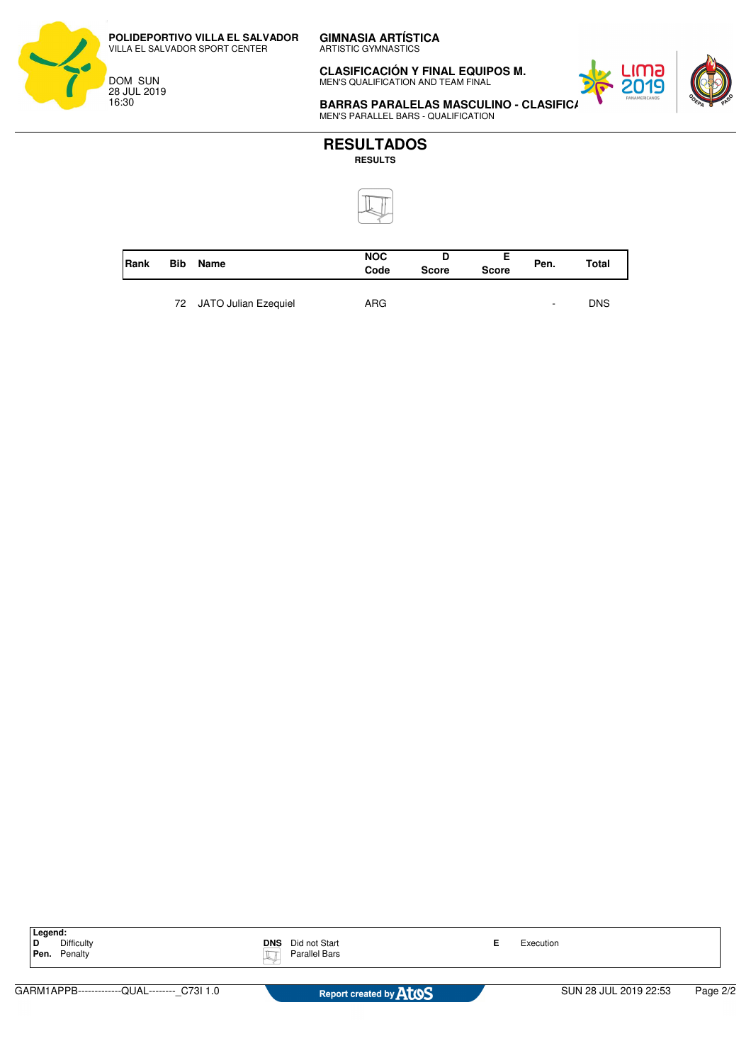**POLIDEPORTIVO VILLA EL SALVADOR** VILLA EL SALVADOR SPORT CENTER

DOM SUN 28 JUL 2019 16:30

ARTISTIC GYMNASTICS

**CLASIFICACIÓN Y FINAL EQUIPOS M.** MEN'S QUALIFICATION AND TEAM FINAL



**BARRAS PARALELAS MASCULINO - CLASIFIC** MEN'S PARALLEL BARS - QUALIFICATION



| <b>Rank</b> | <b>Bib</b> | Name                    | <b>NOC</b><br>Code | <b>Score</b> | <b>Score</b> | Pen. | Total      |
|-------------|------------|-------------------------|--------------------|--------------|--------------|------|------------|
|             |            | 72 JATO Julian Ezequiel | ARG.               |              |              | ۰    | <b>DNS</b> |

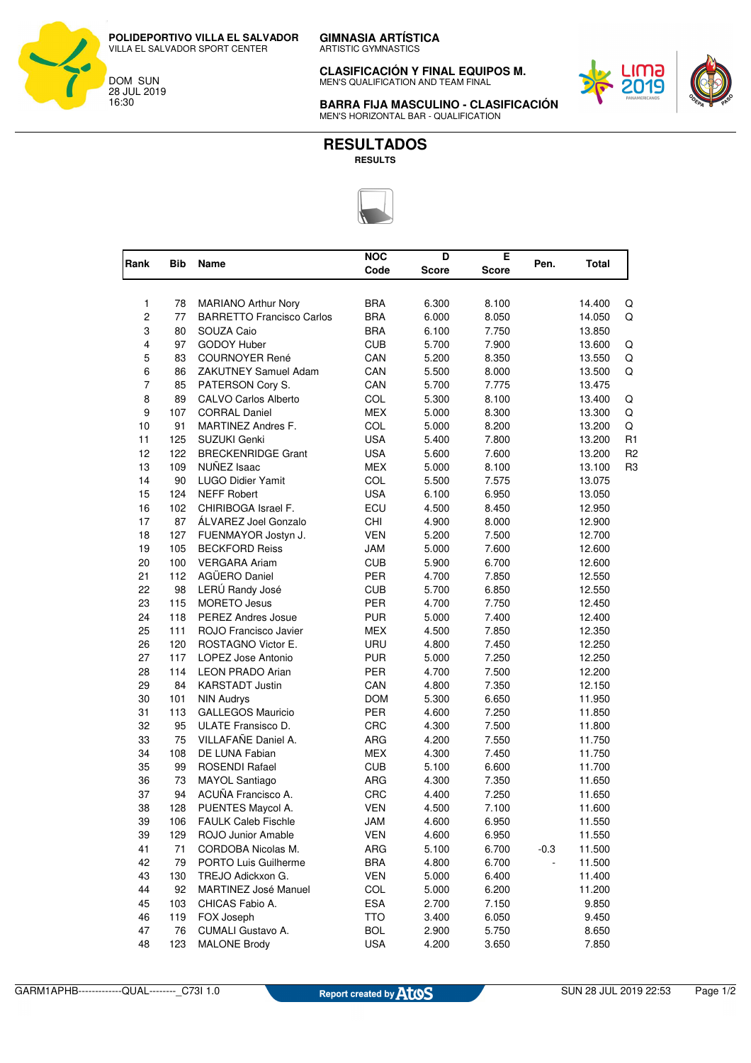ARTISTIC GYMNASTICS

**CLASIFICACIÓN Y FINAL EQUIPOS M.** MEN'S QUALIFICATION AND TEAM FINAL



**BARRA FIJA MASCULINO - CLASIFICACIÓN** MEN'S HORIZONTAL BAR - QUALIFICATION

#### **RESULTADOS RESULTS**



| Rank           | Bib | Name                             | <b>NOC</b> | D            | E            | Pen.   | Total  |                |
|----------------|-----|----------------------------------|------------|--------------|--------------|--------|--------|----------------|
|                |     |                                  | Code       | <b>Score</b> | <b>Score</b> |        |        |                |
| 1              | 78  | <b>MARIANO Arthur Nory</b>       | <b>BRA</b> | 6.300        | 8.100        |        | 14.400 | Q              |
| $\overline{c}$ | 77  | <b>BARRETTO Francisco Carlos</b> | <b>BRA</b> | 6.000        | 8.050        |        | 14.050 | Q              |
| 3              | 80  | SOUZA Caio                       | <b>BRA</b> | 6.100        | 7.750        |        | 13.850 |                |
| 4              | 97  | <b>GODOY Huber</b>               | <b>CUB</b> | 5.700        | 7.900        |        | 13.600 | Q              |
| 5              | 83  | <b>COURNOYER René</b>            | CAN        | 5.200        | 8.350        |        | 13.550 | Q              |
| 6              | 86  | <b>ZAKUTNEY Samuel Adam</b>      | CAN        | 5.500        | 8.000        |        | 13.500 | Q              |
| $\overline{7}$ | 85  | PATERSON Cory S.                 | CAN        | 5.700        | 7.775        |        | 13.475 |                |
| 8              | 89  | CALVO Carlos Alberto             | COL        | 5.300        | 8.100        |        | 13.400 | Q              |
| 9              | 107 | <b>CORRAL Daniel</b>             | <b>MEX</b> | 5.000        | 8.300        |        | 13.300 | Q              |
| 10             | 91  | MARTINEZ Andres F.               | COL        | 5.000        | 8.200        |        | 13.200 | Q              |
| 11             | 125 | SUZUKI Genki                     | <b>USA</b> | 5.400        | 7.800        |        | 13.200 | R <sub>1</sub> |
| 12             | 122 | <b>BRECKENRIDGE Grant</b>        | <b>USA</b> | 5.600        | 7.600        |        | 13.200 | R <sub>2</sub> |
| 13             | 109 | NUÑEZ Isaac                      | <b>MEX</b> | 5.000        | 8.100        |        | 13.100 | R <sub>3</sub> |
| 14             | 90  | <b>LUGO Didier Yamit</b>         | COL        | 5.500        | 7.575        |        | 13.075 |                |
| 15             | 124 | <b>NEFF Robert</b>               | <b>USA</b> | 6.100        | 6.950        |        | 13.050 |                |
| 16             | 102 | CHIRIBOGA Israel F.              | ECU        | 4.500        | 8.450        |        | 12.950 |                |
| 17             | 87  | ÁLVAREZ Joel Gonzalo             | CHI        | 4.900        | 8.000        |        | 12.900 |                |
| 18             | 127 | FUENMAYOR Jostyn J.              | <b>VEN</b> | 5.200        | 7.500        |        | 12.700 |                |
| 19             | 105 | <b>BECKFORD Reiss</b>            | <b>JAM</b> | 5.000        | 7.600        |        | 12.600 |                |
| 20             | 100 | <b>VERGARA Ariam</b>             | <b>CUB</b> | 5.900        | 6.700        |        | 12.600 |                |
| 21             | 112 | AGÜERO Daniel                    | PER        | 4.700        | 7.850        |        | 12.550 |                |
| 22             | 98  | LERÚ Randy José                  | <b>CUB</b> | 5.700        | 6.850        |        | 12.550 |                |
| 23             | 115 | <b>MORETO Jesus</b>              | <b>PER</b> | 4.700        | 7.750        |        | 12.450 |                |
| 24             | 118 | <b>PEREZ Andres Josue</b>        | <b>PUR</b> | 5.000        | 7.400        |        | 12.400 |                |
| 25             | 111 | ROJO Francisco Javier            | <b>MEX</b> | 4.500        | 7.850        |        | 12.350 |                |
| 26             | 120 | ROSTAGNO Victor E.               | URU        | 4.800        | 7.450        |        | 12.250 |                |
| 27             | 117 | LOPEZ Jose Antonio               | <b>PUR</b> | 5.000        | 7.250        |        | 12.250 |                |
| 28             | 114 | <b>LEON PRADO Arian</b>          | <b>PER</b> | 4.700        | 7.500        |        | 12.200 |                |
| 29             | 84  | <b>KARSTADT Justin</b>           | CAN        | 4.800        | 7.350        |        | 12.150 |                |
| 30             | 101 | <b>NIN Audrys</b>                | <b>DOM</b> | 5.300        | 6.650        |        | 11.950 |                |
| 31             | 113 | <b>GALLEGOS Mauricio</b>         | PER        | 4.600        | 7.250        |        | 11.850 |                |
| 32             | 95  | ULATE Fransisco D.               | CRC        | 4.300        | 7.500        |        | 11.800 |                |
| 33             | 75  | VILLAFAÑE Daniel A.              | ARG        | 4.200        | 7.550        |        | 11.750 |                |
| 34             | 108 | DE LUNA Fabian                   | <b>MEX</b> | 4.300        | 7.450        |        | 11.750 |                |
| 35             | 99  | <b>ROSENDI Rafael</b>            | <b>CUB</b> | 5.100        | 6.600        |        | 11.700 |                |
| 36             | 73  | MAYOL Santiago                   | ARG        | 4.300        | 7.350        |        | 11.650 |                |
| 37             | 94  | ACUÑA Francisco A.               | CRC        | 4.400        | 7.250        |        | 11.650 |                |
| 38             | 128 | PUENTES Maycol A.                | <b>VEN</b> | 4.500        | 7.100        |        | 11.600 |                |
| 39             | 106 | <b>FAULK Caleb Fischle</b>       | JAM        | 4.600        | 6.950        |        | 11.550 |                |
| 39             | 129 | ROJO Junior Amable               | <b>VEN</b> | 4.600        | 6.950        |        | 11.550 |                |
| 41             | 71  | CORDOBA Nicolas M.               | ARG        | 5.100        | 6.700        | $-0.3$ | 11.500 |                |
| 42             | 79  | PORTO Luis Guilherme             | BRA        | 4.800        | 6.700        |        | 11.500 |                |
| 43             | 130 | TREJO Adickxon G.                | <b>VEN</b> | 5.000        | 6.400        |        | 11.400 |                |
| 44             | 92  | MARTINEZ José Manuel             | <b>COL</b> | 5.000        | 6.200        |        | 11.200 |                |
| 45             | 103 | CHICAS Fabio A.                  | <b>ESA</b> | 2.700        | 7.150        |        | 9.850  |                |
| 46             | 119 | FOX Joseph                       | <b>TTO</b> | 3.400        | 6.050        |        | 9.450  |                |
| 47             | 76  | CUMALI Gustavo A.                | <b>BOL</b> | 2.900        | 5.750        |        | 8.650  |                |
| 48             | 123 | <b>MALONE Brody</b>              | <b>USA</b> | 4.200        | 3.650        |        | 7.850  |                |



28 JUL 2019 16:30